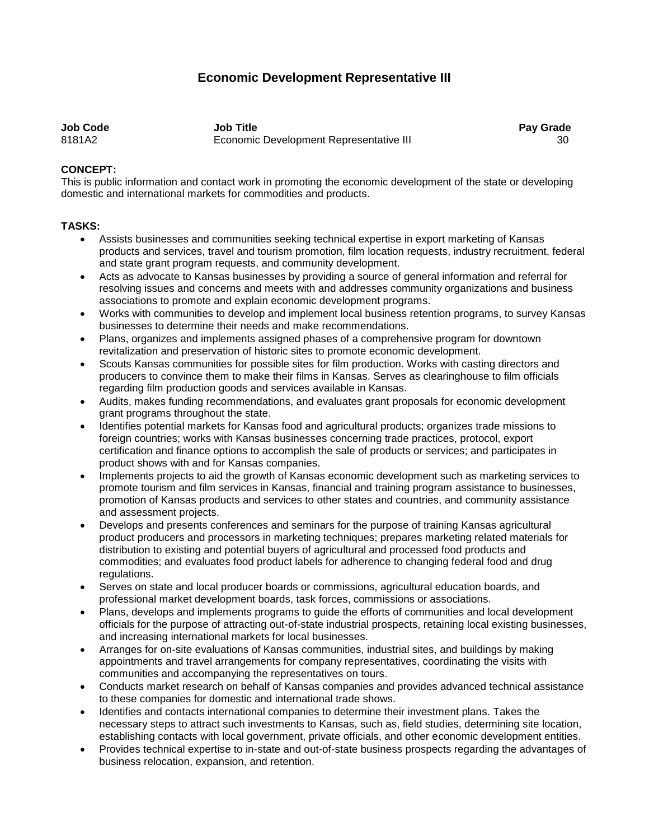## **Economic Development Representative III**

**Job Code Job Title Pay Grade** 8181A2 Economic Development Representative III 30

## **CONCEPT:**

This is public information and contact work in promoting the economic development of the state or developing domestic and international markets for commodities and products.

## **TASKS:**

- Assists businesses and communities seeking technical expertise in export marketing of Kansas products and services, travel and tourism promotion, film location requests, industry recruitment, federal and state grant program requests, and community development.
- Acts as advocate to Kansas businesses by providing a source of general information and referral for resolving issues and concerns and meets with and addresses community organizations and business associations to promote and explain economic development programs.
- Works with communities to develop and implement local business retention programs, to survey Kansas businesses to determine their needs and make recommendations.
- Plans, organizes and implements assigned phases of a comprehensive program for downtown revitalization and preservation of historic sites to promote economic development.
- Scouts Kansas communities for possible sites for film production. Works with casting directors and producers to convince them to make their films in Kansas. Serves as clearinghouse to film officials regarding film production goods and services available in Kansas.
- Audits, makes funding recommendations, and evaluates grant proposals for economic development grant programs throughout the state.
- Identifies potential markets for Kansas food and agricultural products; organizes trade missions to foreign countries; works with Kansas businesses concerning trade practices, protocol, export certification and finance options to accomplish the sale of products or services; and participates in product shows with and for Kansas companies.
- Implements projects to aid the growth of Kansas economic development such as marketing services to promote tourism and film services in Kansas, financial and training program assistance to businesses, promotion of Kansas products and services to other states and countries, and community assistance and assessment projects.
- Develops and presents conferences and seminars for the purpose of training Kansas agricultural product producers and processors in marketing techniques; prepares marketing related materials for distribution to existing and potential buyers of agricultural and processed food products and commodities; and evaluates food product labels for adherence to changing federal food and drug regulations.
- Serves on state and local producer boards or commissions, agricultural education boards, and professional market development boards, task forces, commissions or associations.
- Plans, develops and implements programs to guide the efforts of communities and local development officials for the purpose of attracting out-of-state industrial prospects, retaining local existing businesses, and increasing international markets for local businesses.
- Arranges for on-site evaluations of Kansas communities, industrial sites, and buildings by making appointments and travel arrangements for company representatives, coordinating the visits with communities and accompanying the representatives on tours.
- Conducts market research on behalf of Kansas companies and provides advanced technical assistance to these companies for domestic and international trade shows.
- Identifies and contacts international companies to determine their investment plans. Takes the necessary steps to attract such investments to Kansas, such as, field studies, determining site location, establishing contacts with local government, private officials, and other economic development entities.
- Provides technical expertise to in-state and out-of-state business prospects regarding the advantages of business relocation, expansion, and retention.